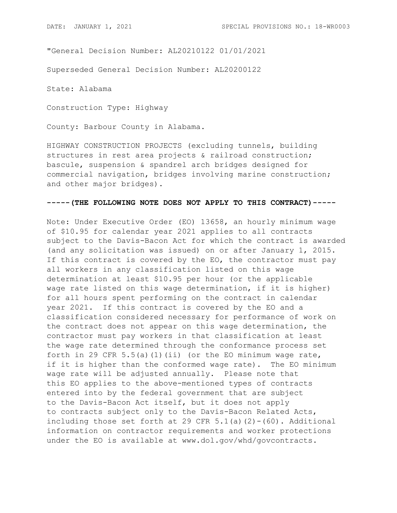"General Decision Number: AL20210122 01/01/2021

Superseded General Decision Number: AL20200122

State: Alabama

Construction Type: Highway

County: Barbour County in Alabama.

HIGHWAY CONSTRUCTION PROJECTS (excluding tunnels, building structures in rest area projects & railroad construction; bascule, suspension & spandrel arch bridges designed for commercial navigation, bridges involving marine construction; and other major bridges).

## **-----(THE FOLLOWING NOTE DOES NOT APPLY TO THIS CONTRACT)-----**

Note: Under Executive Order (EO) 13658, an hourly minimum wage of \$10.95 for calendar year 2021 applies to all contracts subject to the Davis-Bacon Act for which the contract is awarded (and any solicitation was issued) on or after January 1, 2015. If this contract is covered by the EO, the contractor must pay all workers in any classification listed on this wage determination at least \$10.95 per hour (or the applicable wage rate listed on this wage determination, if it is higher) for all hours spent performing on the contract in calendar year 2021. If this contract is covered by the EO and a classification considered necessary for performance of work on the contract does not appear on this wage determination, the contractor must pay workers in that classification at least the wage rate determined through the conformance process set forth in 29 CFR 5.5(a)(1)(ii) (or the EO minimum wage rate, if it is higher than the conformed wage rate). The EO minimum wage rate will be adjusted annually. Please note that this EO applies to the above-mentioned types of contracts entered into by the federal government that are subject to the Davis-Bacon Act itself, but it does not apply to contracts subject only to the Davis-Bacon Related Acts, including those set forth at 29 CFR  $5.1(a)(2)-(60)$ . Additional information on contractor requirements and worker protections under the EO is available at www.dol.gov/whd/govcontracts.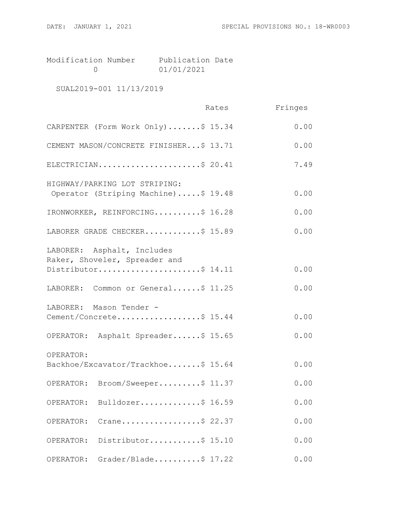Modification Number Publication Date 0 01/01/2021

SUAL2019-001 11/13/2019

|                                                                                    | Rates | Fringes |
|------------------------------------------------------------------------------------|-------|---------|
| CARPENTER (Form Work Only)\$ 15.34                                                 |       | 0.00    |
| CEMENT MASON/CONCRETE FINISHER\$ 13.71                                             |       | 0.00    |
| ELECTRICIAN\$ 20.41                                                                |       | 7.49    |
| HIGHWAY/PARKING LOT STRIPING:<br>Operator (Striping Machine)\$ 19.48               |       | 0.00    |
| IRONWORKER, REINFORCING\$ 16.28                                                    |       | 0.00    |
| LABORER GRADE CHECKER\$ 15.89                                                      |       | 0.00    |
| LABORER: Asphalt, Includes<br>Raker, Shoveler, Spreader and<br>Distributor\$ 14.11 |       | 0.00    |
| LABORER: Common or General\$ 11.25                                                 |       | 0.00    |
| LABORER: Mason Tender -<br>Cement/Concrete\$ 15.44                                 |       | 0.00    |
| OPERATOR: Asphalt Spreader\$ 15.65                                                 |       | 0.00    |
| OPERATOR:<br>Backhoe/Excavator/Trackhoe\$ 15.64                                    |       | 0.00    |
| OPERATOR: Broom/Sweeper\$ 11.37                                                    |       | 0.00    |
| Bulldozer\$ 16.59<br>OPERATOR:                                                     |       | 0.00    |
| Crane\$ 22.37<br>OPERATOR:                                                         |       | 0.00    |
| Distributor\$ 15.10<br>OPERATOR:                                                   |       | 0.00    |
| Grader/Blade\$ 17.22<br>OPERATOR:                                                  |       | 0.00    |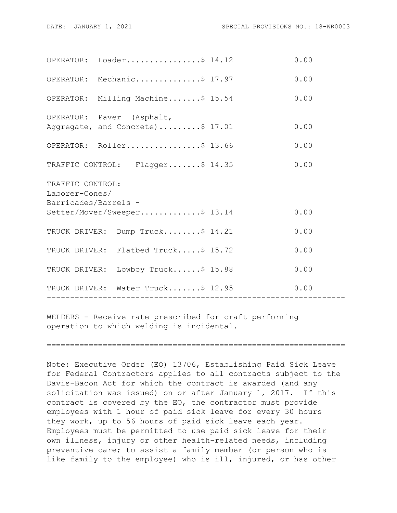|                                                            | OPERATOR: Loader\$ $14.12$                                    |  | 0.00 |  |
|------------------------------------------------------------|---------------------------------------------------------------|--|------|--|
|                                                            | OPERATOR: Mechanic\$ 17.97                                    |  | 0.00 |  |
|                                                            | OPERATOR: Milling Machine\$ 15.54                             |  | 0.00 |  |
|                                                            | OPERATOR: Paver (Asphalt,<br>Aggregate, and Concrete)\$ 17.01 |  | 0.00 |  |
|                                                            | OPERATOR: Roller\$ 13.66                                      |  | 0.00 |  |
|                                                            | TRAFFIC CONTROL: Flagger\$ 14.35                              |  | 0.00 |  |
| TRAFFIC CONTROL:<br>Laborer-Cones/<br>Barricades/Barrels - |                                                               |  |      |  |
|                                                            | Setter/Mover/Sweeper\$ 13.14                                  |  | 0.00 |  |
|                                                            | TRUCK DRIVER: Dump Truck\$ 14.21                              |  | 0.00 |  |
|                                                            | TRUCK DRIVER: Flatbed Truck\$ 15.72                           |  | 0.00 |  |
|                                                            | TRUCK DRIVER: Lowboy Truck\$ 15.88                            |  | 0.00 |  |
|                                                            | TRUCK DRIVER: Water Truck\$ 12.95                             |  | 0.00 |  |
|                                                            |                                                               |  |      |  |

WELDERS - Receive rate prescribed for craft performing operation to which welding is incidental.

================================================================

Note: Executive Order (EO) 13706, Establishing Paid Sick Leave for Federal Contractors applies to all contracts subject to the Davis-Bacon Act for which the contract is awarded (and any solicitation was issued) on or after January 1, 2017. If this solicitation was issued) on or after January 1, 2017. contract is covered by the EO, the contractor must provide employees with 1 hour of paid sick leave for every 30 hours they work, up to 56 hours of paid sick leave each year. Employees must be permitted to use paid sick leave for their own illness, injury or other health-related needs, including preventive care; to assist a family member (or person who is like family to the employee) who is ill, injured, or has other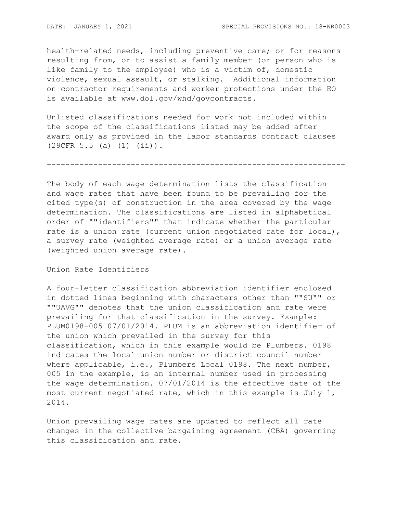health-related needs, including preventive care; or for reasons resulting from, or to assist a family member (or person who is like family to the employee) who is a victim of, domestic violence, sexual assault, or stalking. Additional information on contractor requirements and worker protections under the EO is available at www.dol.gov/whd/govcontracts.

Unlisted classifications needed for work not included within the scope of the classifications listed may be added after award only as provided in the labor standards contract clauses (29CFR 5.5 (a) (1) (ii)).

----------------------------------------------------------------

The body of each wage determination lists the classification and wage rates that have been found to be prevailing for the cited type(s) of construction in the area covered by the wage determination. The classifications are listed in alphabetical order of ""identifiers"" that indicate whether the particular rate is a union rate (current union negotiated rate for local), a survey rate (weighted average rate) or a union average rate (weighted union average rate).

Union Rate Identifiers

A four-letter classification abbreviation identifier enclosed in dotted lines beginning with characters other than ""SU"" or ""UAVG"" denotes that the union classification and rate were prevailing for that classification in the survey. Example: PLUM0198-005 07/01/2014. PLUM is an abbreviation identifier of the union which prevailed in the survey for this classification, which in this example would be Plumbers. 0198 indicates the local union number or district council number where applicable, i.e., Plumbers Local 0198. The next number, 005 in the example, is an internal number used in processing the wage determination. 07/01/2014 is the effective date of the most current negotiated rate, which in this example is July 1, 2014.

Union prevailing wage rates are updated to reflect all rate changes in the collective bargaining agreement (CBA) governing this classification and rate.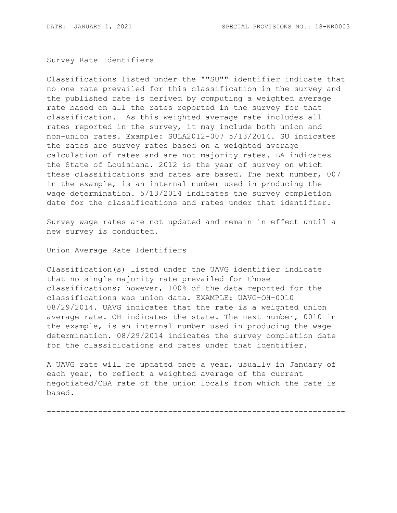## Survey Rate Identifiers

Classifications listed under the ""SU"" identifier indicate that no one rate prevailed for this classification in the survey and the published rate is derived by computing a weighted average rate based on all the rates reported in the survey for that classification. As this weighted average rate includes all rates reported in the survey, it may include both union and non-union rates. Example: SULA2012-007 5/13/2014. SU indicates the rates are survey rates based on a weighted average calculation of rates and are not majority rates. LA indicates the State of Louisiana. 2012 is the year of survey on which these classifications and rates are based. The next number, 007 in the example, is an internal number used in producing the wage determination. 5/13/2014 indicates the survey completion date for the classifications and rates under that identifier.

Survey wage rates are not updated and remain in effect until a new survey is conducted.

Union Average Rate Identifiers

Classification(s) listed under the UAVG identifier indicate that no single majority rate prevailed for those classifications; however, 100% of the data reported for the classifications was union data. EXAMPLE: UAVG-OH-0010 08/29/2014. UAVG indicates that the rate is a weighted union average rate. OH indicates the state. The next number, 0010 in the example, is an internal number used in producing the wage determination. 08/29/2014 indicates the survey completion date for the classifications and rates under that identifier.

A UAVG rate will be updated once a year, usually in January of each year, to reflect a weighted average of the current negotiated/CBA rate of the union locals from which the rate is based.

----------------------------------------------------------------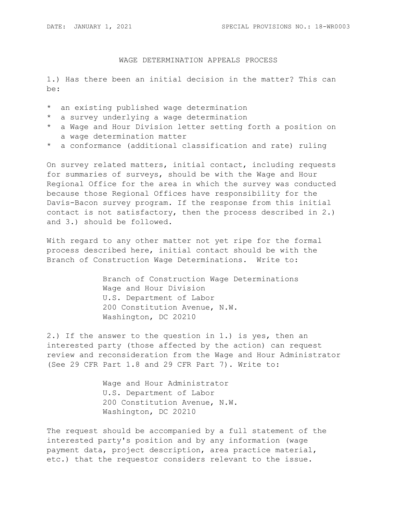## WAGE DETERMINATION APPEALS PROCESS

1.) Has there been an initial decision in the matter? This can be:

- \* an existing published wage determination
- \* a survey underlying a wage determination
- \* a Wage and Hour Division letter setting forth a position on a wage determination matter
- \* a conformance (additional classification and rate) ruling

On survey related matters, initial contact, including requests for summaries of surveys, should be with the Wage and Hour Regional Office for the area in which the survey was conducted because those Regional Offices have responsibility for the Davis-Bacon survey program. If the response from this initial contact is not satisfactory, then the process described in 2.) and 3.) should be followed.

With regard to any other matter not yet ripe for the formal process described here, initial contact should be with the Branch of Construction Wage Determinations. Write to:

> Branch of Construction Wage Determinations Wage and Hour Division U.S. Department of Labor 200 Constitution Avenue, N.W. Washington, DC 20210

2.) If the answer to the question in 1.) is yes, then an interested party (those affected by the action) can request review and reconsideration from the Wage and Hour Administrator (See 29 CFR Part 1.8 and 29 CFR Part 7). Write to:

> Wage and Hour Administrator U.S. Department of Labor 200 Constitution Avenue, N.W. Washington, DC 20210

The request should be accompanied by a full statement of the interested party's position and by any information (wage payment data, project description, area practice material, etc.) that the requestor considers relevant to the issue.